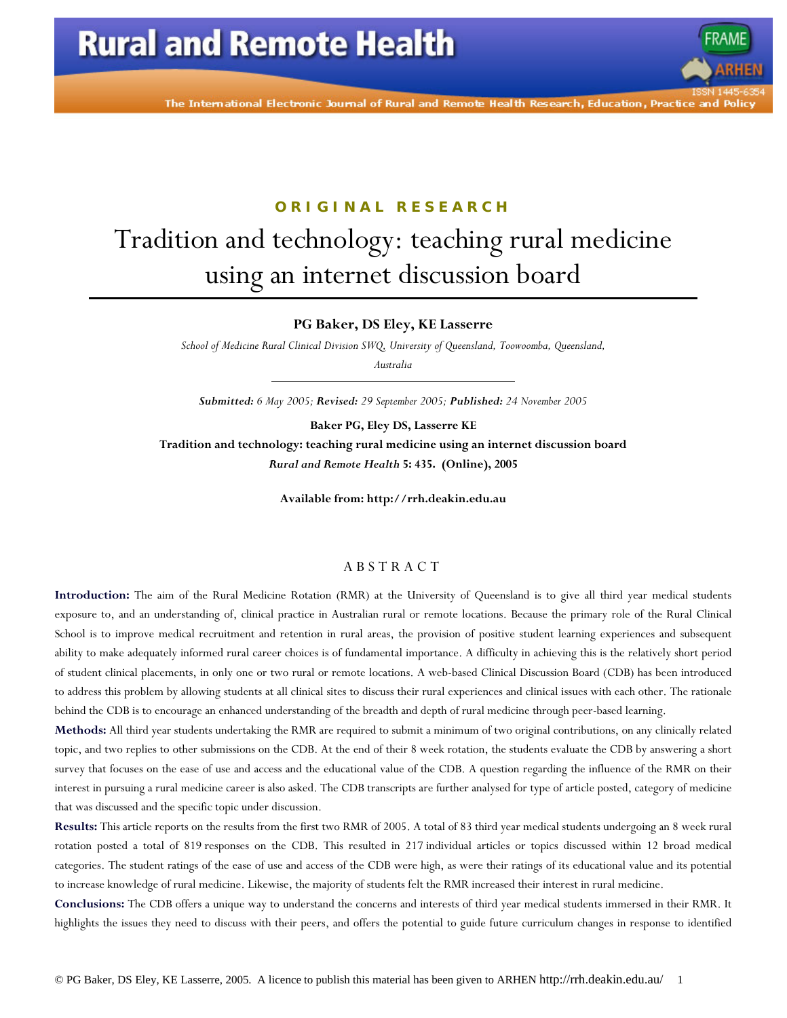The International Electronic Journal of Rural and Remote Health Research, Education, Practice and Polic

# **ORIGINAL RESEARCH** Tradition and technology: teaching rural medicine using an internet discussion board

**PG Baker, DS Eley, KE Lasserre** 

*School of Medicine Rural Clinical Division SWQ, University of Queensland, Toowoomba, Queensland, Australia* 

*Submitted: 6 May 2005; Revised: 29 September 2005; Published: 24 November 2005* 

**Baker PG, Eley DS, Lasserre KE** 

**Tradition and technology: teaching rural medicine using an internet discussion board**  *Rural and Remote Health* **5: 435. (Online), 2005** 

**Available from: http://rrh.deakin.edu.au** 

#### ABSTRACT

**Introduction:** The aim of the Rural Medicine Rotation (RMR) at the University of Queensland is to give all third year medical students exposure to, and an understanding of, clinical practice in Australian rural or remote locations. Because the primary role of the Rural Clinical School is to improve medical recruitment and retention in rural areas, the provision of positive student learning experiences and subsequent ability to make adequately informed rural career choices is of fundamental importance. A difficulty in achieving this is the relatively short period of student clinical placements, in only one or two rural or remote locations. A web-based Clinical Discussion Board (CDB) has been introduced to address this problem by allowing students at all clinical sites to discuss their rural experiences and clinical issues with each other. The rationale behind the CDB is to encourage an enhanced understanding of the breadth and depth of rural medicine through peer-based learning.

**Methods:** All third year students undertaking the RMR are required to submit a minimum of two original contributions, on any clinically related topic, and two replies to other submissions on the CDB. At the end of their 8 week rotation, the students evaluate the CDB by answering a short survey that focuses on the ease of use and access and the educational value of the CDB. A question regarding the influence of the RMR on their interest in pursuing a rural medicine career is also asked. The CDB transcripts are further analysed for type of article posted, category of medicine that was discussed and the specific topic under discussion.

**Results:** This article reports on the results from the first two RMR of 2005. A total of 83 third year medical students undergoing an 8 week rural rotation posted a total of 819 responses on the CDB. This resulted in 217 individual articles or topics discussed within 12 broad medical categories. The student ratings of the ease of use and access of the CDB were high, as were their ratings of its educational value and its potential to increase knowledge of rural medicine. Likewise, the majority of students felt the RMR increased their interest in rural medicine.

**Conclusions:** The CDB offers a unique way to understand the concerns and interests of third year medical students immersed in their RMR. It highlights the issues they need to discuss with their peers, and offers the potential to guide future curriculum changes in response to identified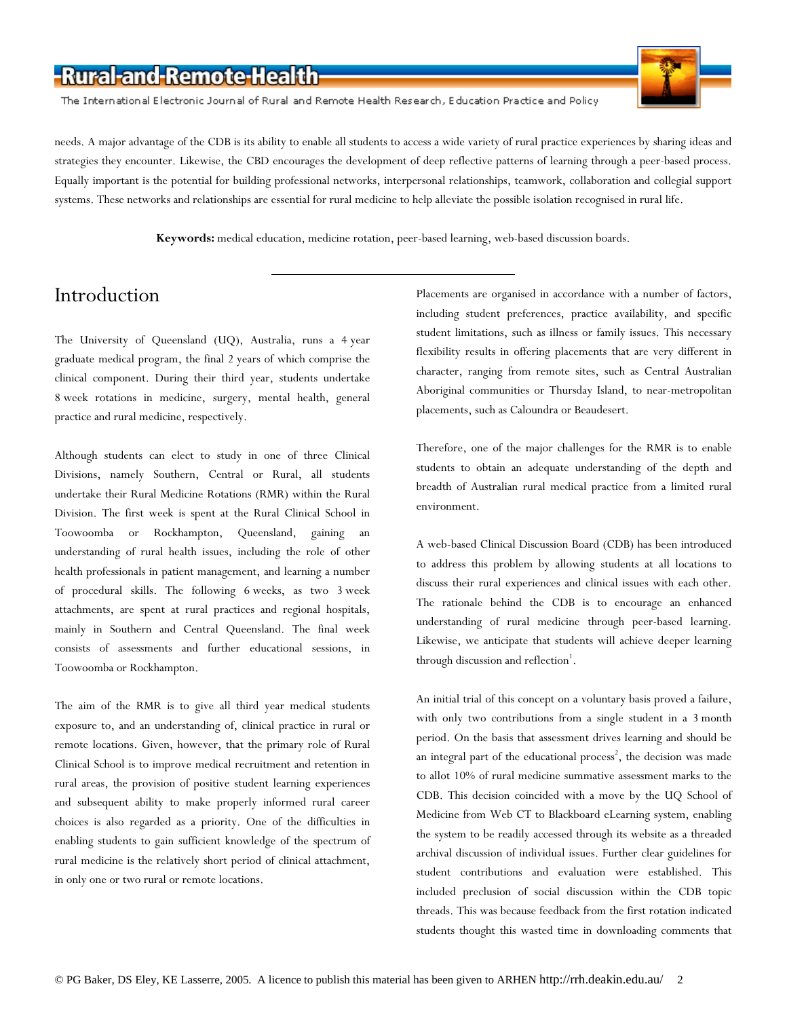The International Electronic Journal of Rural and Remote Health Research, Education Practice and Policy



needs. A major advantage of the CDB is its ability to enable all students to access a wide variety of rural practice experiences by sharing ideas and strategies they encounter. Likewise, the CBD encourages the development of deep reflective patterns of learning through a peer-based process. Equally important is the potential for building professional networks, interpersonal relationships, teamwork, collaboration and collegial support systems. These networks and relationships are essential for rural medicine to help alleviate the possible isolation recognised in rural life.

**Keywords:** medical education, medicine rotation, peer-based learning, web-based discussion boards.

### Introduction

The University of Queensland (UQ), Australia, runs a 4 year graduate medical program, the final 2 years of which comprise the clinical component. During their third year, students undertake 8 week rotations in medicine, surgery, mental health, general practice and rural medicine, respectively.

Although students can elect to study in one of three Clinical Divisions, namely Southern, Central or Rural, all students undertake their Rural Medicine Rotations (RMR) within the Rural Division. The first week is spent at the Rural Clinical School in Toowoomba or Rockhampton, Queensland, gaining an understanding of rural health issues, including the role of other health professionals in patient management, and learning a number of procedural skills. The following 6 weeks, as two 3 week attachments, are spent at rural practices and regional hospitals, mainly in Southern and Central Queensland. The final week consists of assessments and further educational sessions, in Toowoomba or Rockhampton.

The aim of the RMR is to give all third year medical students exposure to, and an understanding of, clinical practice in rural or remote locations. Given, however, that the primary role of Rural Clinical School is to improve medical recruitment and retention in rural areas, the provision of positive student learning experiences and subsequent ability to make properly informed rural career choices is also regarded as a priority. One of the difficulties in enabling students to gain sufficient knowledge of the spectrum of rural medicine is the relatively short period of clinical attachment, in only one or two rural or remote locations.

Placements are organised in accordance with a number of factors, including student preferences, practice availability, and specific student limitations, such as illness or family issues. This necessary flexibility results in offering placements that are very different in character, ranging from remote sites, such as Central Australian Aboriginal communities or Thursday Island, to near-metropolitan placements, such as Caloundra or Beaudesert.

Therefore, one of the major challenges for the RMR is to enable students to obtain an adequate understanding of the depth and breadth of Australian rural medical practice from a limited rural environment.

A web-based Clinical Discussion Board (CDB) has been introduced to address this problem by allowing students at all locations to discuss their rural experiences and clinical issues with each other. The rationale behind the CDB is to encourage an enhanced understanding of rural medicine through peer-based learning. Likewise, we anticipate that students will achieve deeper learning through discussion and reflection<sup>1</sup>.

An initial trial of this concept on a voluntary basis proved a failure, with only two contributions from a single student in a 3 month period. On the basis that assessment drives learning and should be an integral part of the educational process<sup>2</sup>, the decision was made to allot 10% of rural medicine summative assessment marks to the CDB. This decision coincided with a move by the UQ School of Medicine from Web CT to Blackboard eLearning system, enabling the system to be readily accessed through its website as a threaded archival discussion of individual issues. Further clear guidelines for student contributions and evaluation were established. This included preclusion of social discussion within the CDB topic threads. This was because feedback from the first rotation indicated students thought this wasted time in downloading comments that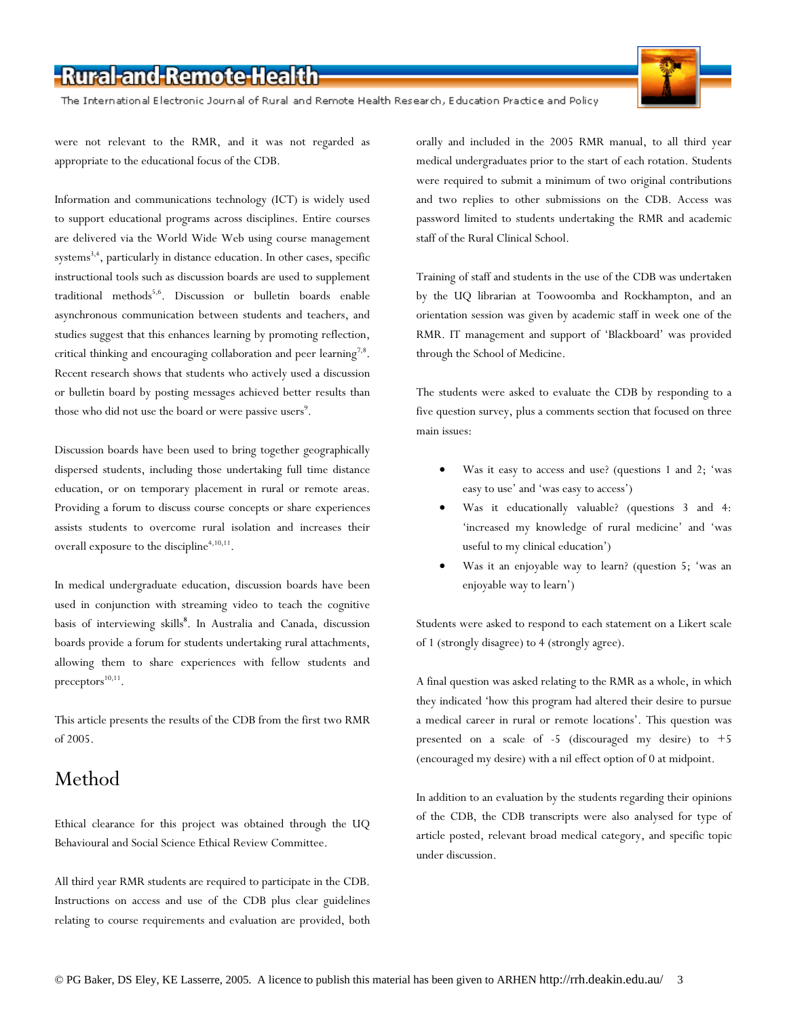The International Electronic Journal of Rural and Remote Health Research, Education Practice and Policy



were not relevant to the RMR, and it was not regarded as appropriate to the educational focus of the CDB.

Information and communications technology (ICT) is widely used to support educational programs across disciplines. Entire courses are delivered via the World Wide Web using course management systems $^{3,4}$ , particularly in distance education. In other cases, specific instructional tools such as discussion boards are used to supplement traditional methods<sup>5,6</sup>. Discussion or bulletin boards enable asynchronous communication between students and teachers, and studies suggest that this enhances learning by promoting reflection, critical thinking and encouraging collaboration and peer learning<sup>7,8</sup>. Recent research shows that students who actively used a discussion or bulletin board by posting messages achieved better results than those who did not use the board or were passive users<sup>9</sup>.

Discussion boards have been used to bring together geographically dispersed students, including those undertaking full time distance education, or on temporary placement in rural or remote areas. Providing a forum to discuss course concepts or share experiences assists students to overcome rural isolation and increases their overall exposure to the discipline<sup>4,10,11</sup>.

In medical undergraduate education, discussion boards have been used in conjunction with streaming video to teach the cognitive basis of interviewing skills**<sup>8</sup>** . In Australia and Canada, discussion boards provide a forum for students undertaking rural attachments, allowing them to share experiences with fellow students and  $precentors<sup>10,11</sup>$ .

This article presents the results of the CDB from the first two RMR of 2005.

### Method

Ethical clearance for this project was obtained through the UQ Behavioural and Social Science Ethical Review Committee.

All third year RMR students are required to participate in the CDB. Instructions on access and use of the CDB plus clear guidelines relating to course requirements and evaluation are provided, both

orally and included in the 2005 RMR manual, to all third year medical undergraduates prior to the start of each rotation. Students were required to submit a minimum of two original contributions and two replies to other submissions on the CDB. Access was password limited to students undertaking the RMR and academic staff of the Rural Clinical School.

Training of staff and students in the use of the CDB was undertaken by the UQ librarian at Toowoomba and Rockhampton, and an orientation session was given by academic staff in week one of the RMR. IT management and support of 'Blackboard' was provided through the School of Medicine.

The students were asked to evaluate the CDB by responding to a five question survey, plus a comments section that focused on three main issues:

- Was it easy to access and use? (questions 1 and 2; 'was easy to use' and 'was easy to access')
- Was it educationally valuable? (questions 3 and 4: 'increased my knowledge of rural medicine' and 'was useful to my clinical education')
- Was it an enjoyable way to learn? (question 5; 'was an enjoyable way to learn')

Students were asked to respond to each statement on a Likert scale of 1 (strongly disagree) to 4 (strongly agree).

A final question was asked relating to the RMR as a whole, in which they indicated 'how this program had altered their desire to pursue a medical career in rural or remote locations'. This question was presented on a scale of -5 (discouraged my desire) to +5 (encouraged my desire) with a nil effect option of 0 at midpoint.

In addition to an evaluation by the students regarding their opinions of the CDB, the CDB transcripts were also analysed for type of article posted, relevant broad medical category, and specific topic under discussion.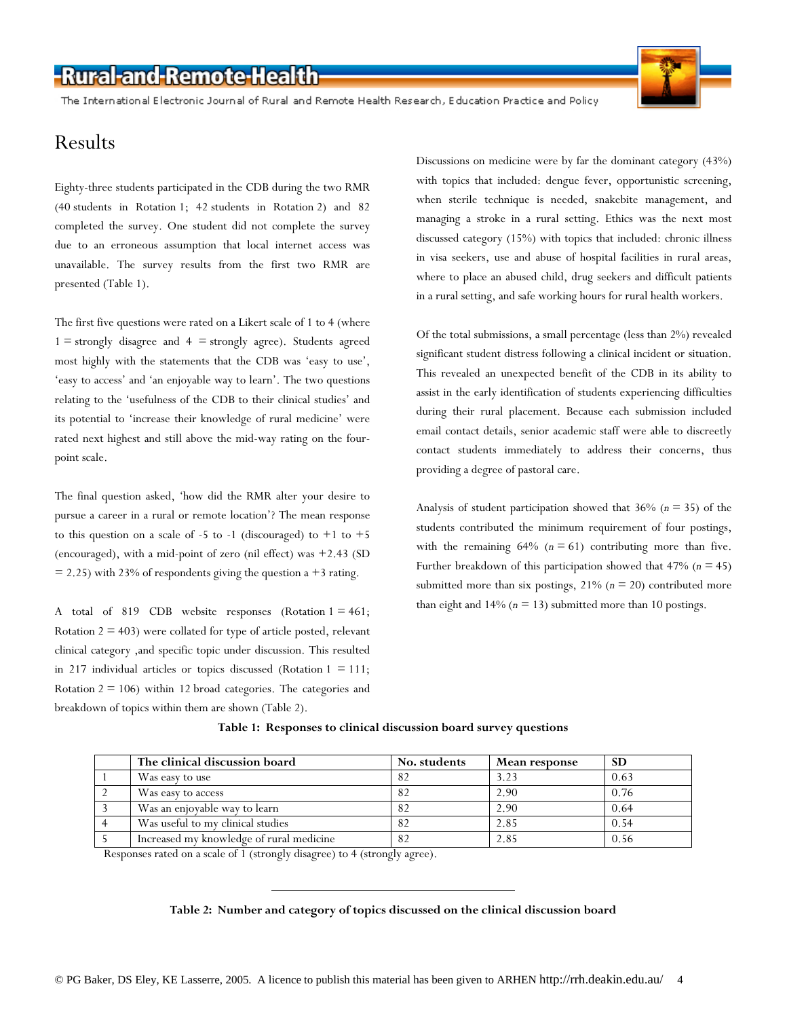The International Electronic Journal of Rural and Remote Health Research, Education Practice and Policy

### Results

Eighty-three students participated in the CDB during the two RMR (40 students in Rotation 1; 42 students in Rotation 2) and 82 completed the survey. One student did not complete the survey due to an erroneous assumption that local internet access was unavailable. The survey results from the first two RMR are presented (Table 1).

The first five questions were rated on a Likert scale of 1 to 4 (where  $1 =$  strongly disagree and  $4 =$  strongly agree). Students agreed most highly with the statements that the CDB was 'easy to use', 'easy to access' and 'an enjoyable way to learn'. The two questions relating to the 'usefulness of the CDB to their clinical studies' and its potential to 'increase their knowledge of rural medicine' were rated next highest and still above the mid-way rating on the fourpoint scale.

The final question asked, 'how did the RMR alter your desire to pursue a career in a rural or remote location'? The mean response to this question on a scale of -5 to -1 (discouraged) to  $+1$  to  $+5$ (encouraged), with a mid-point of zero (nil effect) was +2.43 (SD  $= 2.25$ ) with 23% of respondents giving the question a +3 rating.

A total of 819 CDB website responses (Rotation  $1 = 461$ ; Rotation  $2 = 403$ ) were collated for type of article posted, relevant clinical category ,and specific topic under discussion. This resulted in 217 individual articles or topics discussed (Rotation  $1 = 111$ ; Rotation  $2 = 106$ ) within 12 broad categories. The categories and breakdown of topics within them are shown (Table 2).

Discussions on medicine were by far the dominant category (43%) with topics that included: dengue fever, opportunistic screening, when sterile technique is needed, snakebite management, and managing a stroke in a rural setting. Ethics was the next most discussed category (15%) with topics that included: chronic illness in visa seekers, use and abuse of hospital facilities in rural areas, where to place an abused child, drug seekers and difficult patients in a rural setting, and safe working hours for rural health workers.

Of the total submissions, a small percentage (less than 2%) revealed significant student distress following a clinical incident or situation. This revealed an unexpected benefit of the CDB in its ability to assist in the early identification of students experiencing difficulties during their rural placement. Because each submission included email contact details, senior academic staff were able to discreetly contact students immediately to address their concerns, thus providing a degree of pastoral care.

Analysis of student participation showed that 36% (*n* = 35) of the students contributed the minimum requirement of four postings, with the remaining  $64\%$  ( $n = 61$ ) contributing more than five. Further breakdown of this participation showed that 47% (*n* = 45) submitted more than six postings,  $21\%$  ( $n = 20$ ) contributed more than eight and  $14\%$  ( $n = 13$ ) submitted more than 10 postings.

| The clinical discussion board            | No. students | Mean response | <b>SD</b> |
|------------------------------------------|--------------|---------------|-----------|
| Was easy to use                          | 82           | 3.23          | 0.63      |
| Was easy to access                       | 82           | 2.90          | 0.76      |
| Was an enjoyable way to learn            | 82           | 2.90          | 0.64      |
| Was useful to my clinical studies        | 82           | 2.85          | 0.54      |
| Increased my knowledge of rural medicine | 82           | 2.85          | 0.56      |

#### **Table 1: Responses to clinical discussion board survey questions**

Responses rated on a scale of 1 (strongly disagree) to 4 (strongly agree).

#### **Table 2: Number and category of topics discussed on the clinical discussion board**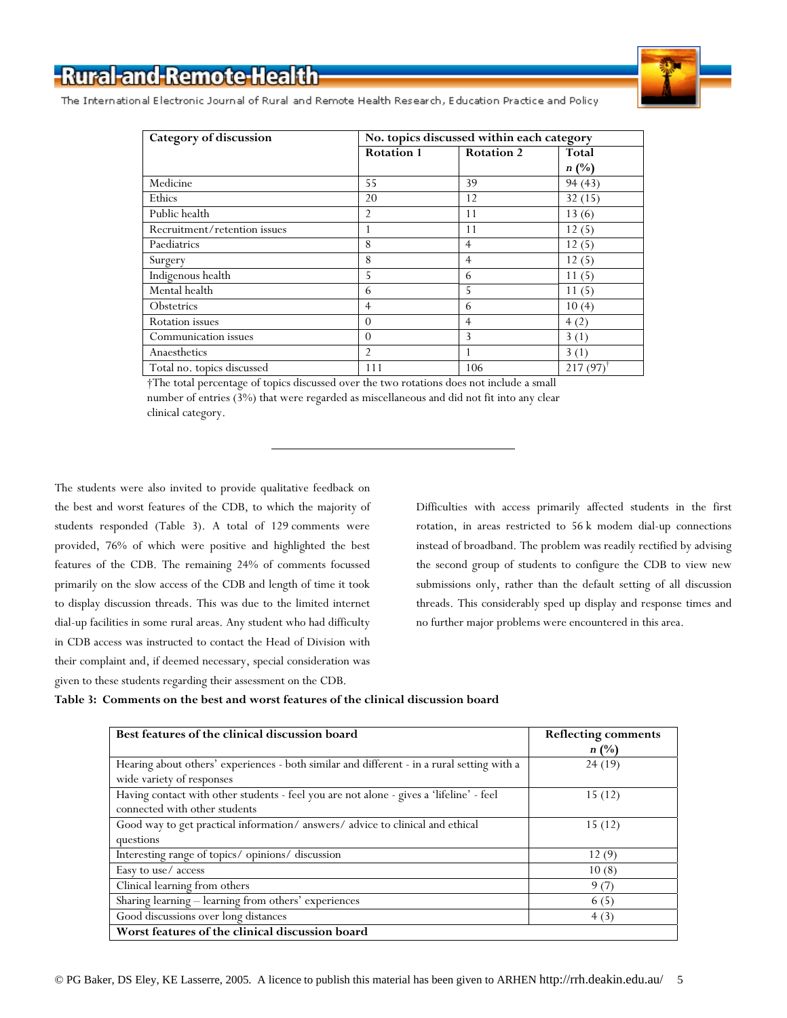

The International Electronic Journal of Rural and Remote Health Research, Education Practice and Policy

| Category of discussion       | No. topics discussed within each category |                   |                        |
|------------------------------|-------------------------------------------|-------------------|------------------------|
|                              | <b>Rotation 1</b>                         | <b>Rotation 2</b> | <b>Total</b>           |
|                              |                                           |                   | $n(^{0}/_{0})$         |
| Medicine                     | 55                                        | 39                | 94(43)                 |
| Ethics                       | 20                                        | 12                | 32(15)                 |
| Public health                | $\overline{2}$                            | 11                | 13(6)                  |
| Recruitment/retention issues |                                           | 11                | 12(5)                  |
| Paediatrics                  | 8                                         | $\overline{4}$    | 12(5)                  |
| Surgery                      | 8                                         | $\overline{4}$    | 12(5)                  |
| Indigenous health            | 5                                         | 6                 | 11(5)                  |
| Mental health                | 6                                         | 5                 | 11(5)                  |
| Obstetrics                   | 4                                         | 6                 | 10(4)                  |
| <b>Rotation</b> issues       | $\Omega$                                  | 4                 | 4(2)                   |
| Communication issues         | $\Omega$                                  | 3                 | 3(1)                   |
| Anaesthetics                 | 2                                         |                   | 3(1)                   |
| Total no. topics discussed   | 111                                       | 106               | $217(97)$ <sup>†</sup> |

 †The total percentage of topics discussed over the two rotations does not include a small number of entries (3%) that were regarded as miscellaneous and did not fit into any clear clinical category.

The students were also invited to provide qualitative feedback on the best and worst features of the CDB, to which the majority of students responded (Table 3). A total of 129 comments were provided, 76% of which were positive and highlighted the best features of the CDB. The remaining 24% of comments focussed primarily on the slow access of the CDB and length of time it took to display discussion threads. This was due to the limited internet dial-up facilities in some rural areas. Any student who had difficulty in CDB access was instructed to contact the Head of Division with their complaint and, if deemed necessary, special consideration was given to these students regarding their assessment on the CDB.

Difficulties with access primarily affected students in the first rotation, in areas restricted to 56 k modem dial-up connections instead of broadband. The problem was readily rectified by advising the second group of students to configure the CDB to view new submissions only, rather than the default setting of all discussion threads. This considerably sped up display and response times and no further major problems were encountered in this area.

| Table 3: Comments on the best and worst features of the clinical discussion board |  |
|-----------------------------------------------------------------------------------|--|
|-----------------------------------------------------------------------------------|--|

| Best features of the clinical discussion board                                             | <b>Reflecting comments</b> |
|--------------------------------------------------------------------------------------------|----------------------------|
|                                                                                            | $n(^{0}/_{0})$             |
| Hearing about others' experiences - both similar and different - in a rural setting with a | 24(19)                     |
| wide variety of responses                                                                  |                            |
| Having contact with other students - feel you are not alone - gives a 'lifeline' - feel    | 15(12)                     |
| connected with other students                                                              |                            |
| Good way to get practical information/answers/advice to clinical and ethical               | 15(12)                     |
| questions                                                                                  |                            |
| Interesting range of topics/opinions/discussion                                            | 12(9)                      |
| Easy to use/ access                                                                        | 10(8)                      |
| Clinical learning from others                                                              | 9(7)                       |
| Sharing learning - learning from others' experiences                                       | 6(5)                       |
| Good discussions over long distances                                                       | 4(3)                       |
| Worst features of the clinical discussion board                                            |                            |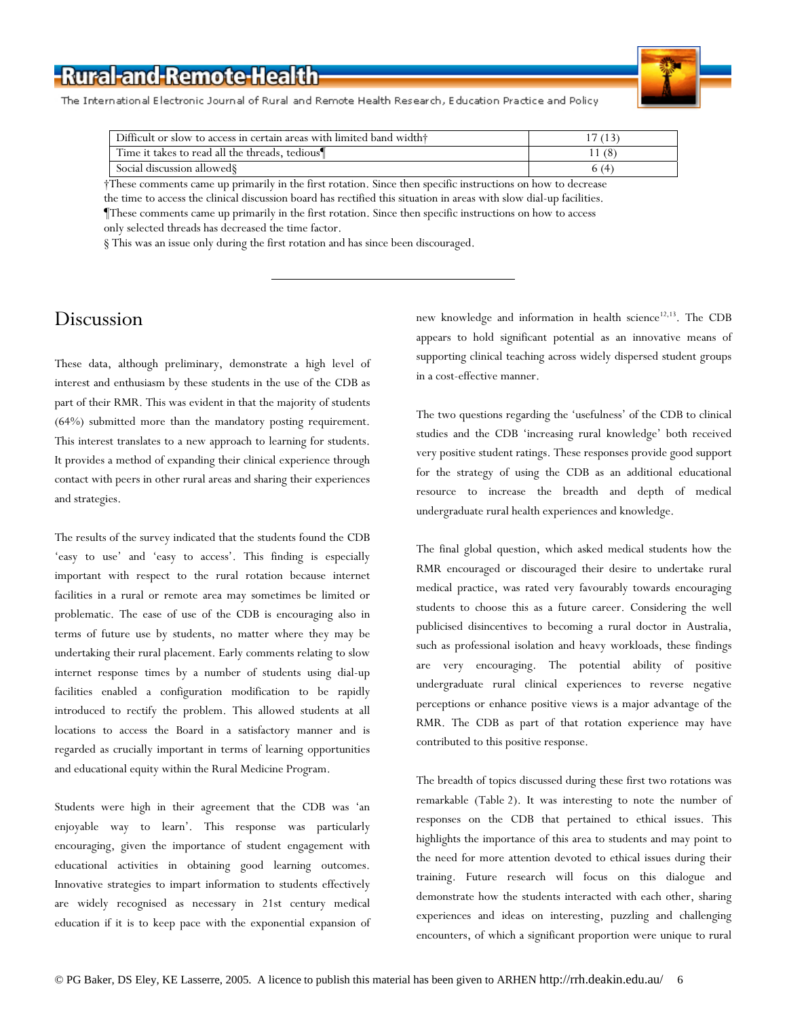

The International Electronic Journal of Rural and Remote Health Research, Education Practice and Policy

| Difficult or slow to access in certain areas with limited band width <sup>+</sup> | 17 (13) |
|-----------------------------------------------------------------------------------|---------|
| Time it takes to read all the threads, tedious                                    |         |
| Social discussion allowed §                                                       | 6 (4    |

 †These comments came up primarily in the first rotation. Since then specific instructions on how to decrease the time to access the clinical discussion board has rectified this situation in areas with slow dial-up facilities.

 ¶These comments came up primarily in the first rotation. Since then specific instructions on how to access only selected threads has decreased the time factor.

§ This was an issue only during the first rotation and has since been discouraged.

### Discussion

These data, although preliminary, demonstrate a high level of interest and enthusiasm by these students in the use of the CDB as part of their RMR. This was evident in that the majority of students (64%) submitted more than the mandatory posting requirement. This interest translates to a new approach to learning for students. It provides a method of expanding their clinical experience through contact with peers in other rural areas and sharing their experiences and strategies.

The results of the survey indicated that the students found the CDB 'easy to use' and 'easy to access'. This finding is especially important with respect to the rural rotation because internet facilities in a rural or remote area may sometimes be limited or problematic. The ease of use of the CDB is encouraging also in terms of future use by students, no matter where they may be undertaking their rural placement. Early comments relating to slow internet response times by a number of students using dial-up facilities enabled a configuration modification to be rapidly introduced to rectify the problem. This allowed students at all locations to access the Board in a satisfactory manner and is regarded as crucially important in terms of learning opportunities and educational equity within the Rural Medicine Program.

Students were high in their agreement that the CDB was 'an enjoyable way to learn'. This response was particularly encouraging, given the importance of student engagement with educational activities in obtaining good learning outcomes. Innovative strategies to impart information to students effectively are widely recognised as necessary in 21st century medical education if it is to keep pace with the exponential expansion of new knowledge and information in health science<sup>12,13</sup>. The CDB appears to hold significant potential as an innovative means of supporting clinical teaching across widely dispersed student groups in a cost-effective manner.

The two questions regarding the 'usefulness' of the CDB to clinical studies and the CDB 'increasing rural knowledge' both received very positive student ratings. These responses provide good support for the strategy of using the CDB as an additional educational resource to increase the breadth and depth of medical undergraduate rural health experiences and knowledge.

The final global question, which asked medical students how the RMR encouraged or discouraged their desire to undertake rural medical practice, was rated very favourably towards encouraging students to choose this as a future career. Considering the well publicised disincentives to becoming a rural doctor in Australia, such as professional isolation and heavy workloads, these findings are very encouraging. The potential ability of positive undergraduate rural clinical experiences to reverse negative perceptions or enhance positive views is a major advantage of the RMR. The CDB as part of that rotation experience may have contributed to this positive response.

The breadth of topics discussed during these first two rotations was remarkable (Table 2). It was interesting to note the number of responses on the CDB that pertained to ethical issues. This highlights the importance of this area to students and may point to the need for more attention devoted to ethical issues during their training. Future research will focus on this dialogue and demonstrate how the students interacted with each other, sharing experiences and ideas on interesting, puzzling and challenging encounters, of which a significant proportion were unique to rural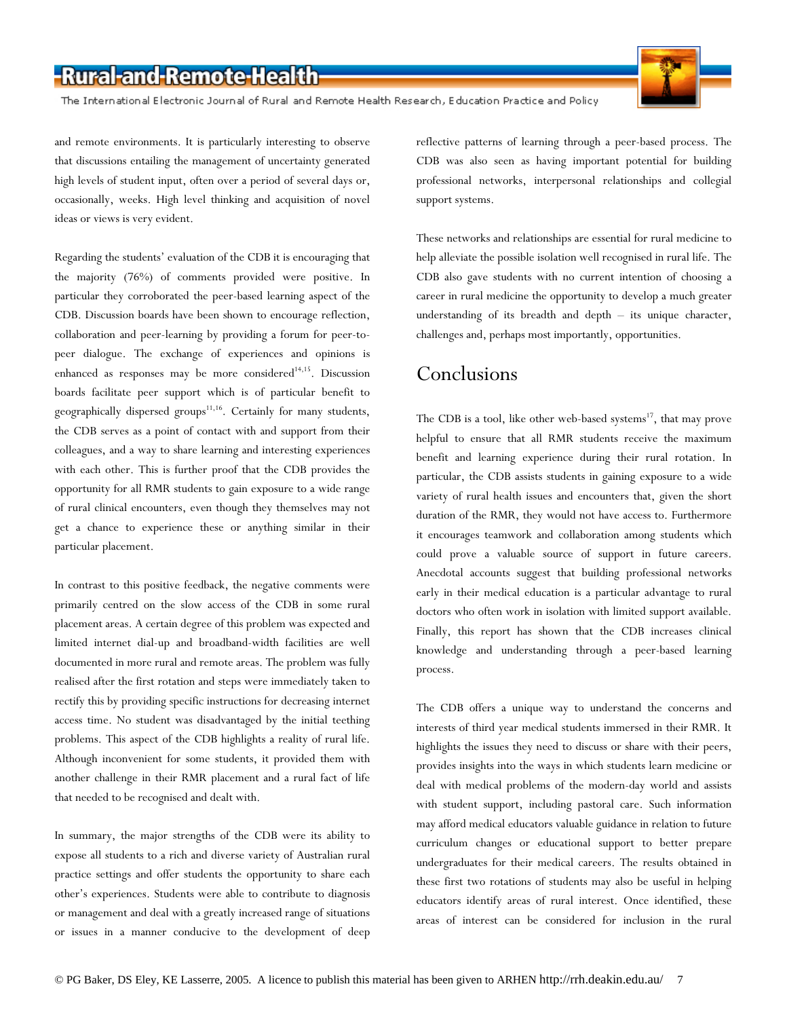The International Electronic Journal of Rural and Remote Health Research, Education Practice and Policy

and remote environments. It is particularly interesting to observe that discussions entailing the management of uncertainty generated high levels of student input, often over a period of several days or, occasionally, weeks. High level thinking and acquisition of novel ideas or views is very evident.

Regarding the students' evaluation of the CDB it is encouraging that the majority (76%) of comments provided were positive. In particular they corroborated the peer-based learning aspect of the CDB. Discussion boards have been shown to encourage reflection, collaboration and peer-learning by providing a forum for peer-topeer dialogue. The exchange of experiences and opinions is enhanced as responses may be more considered<sup>14,15</sup>. Discussion boards facilitate peer support which is of particular benefit to geographically dispersed groups $11,16$ . Certainly for many students, the CDB serves as a point of contact with and support from their colleagues, and a way to share learning and interesting experiences with each other. This is further proof that the CDB provides the opportunity for all RMR students to gain exposure to a wide range of rural clinical encounters, even though they themselves may not get a chance to experience these or anything similar in their particular placement.

In contrast to this positive feedback, the negative comments were primarily centred on the slow access of the CDB in some rural placement areas. A certain degree of this problem was expected and limited internet dial-up and broadband-width facilities are well documented in more rural and remote areas. The problem was fully realised after the first rotation and steps were immediately taken to rectify this by providing specific instructions for decreasing internet access time. No student was disadvantaged by the initial teething problems. This aspect of the CDB highlights a reality of rural life. Although inconvenient for some students, it provided them with another challenge in their RMR placement and a rural fact of life that needed to be recognised and dealt with.

In summary, the major strengths of the CDB were its ability to expose all students to a rich and diverse variety of Australian rural practice settings and offer students the opportunity to share each other's experiences. Students were able to contribute to diagnosis or management and deal with a greatly increased range of situations or issues in a manner conducive to the development of deep

reflective patterns of learning through a peer-based process. The CDB was also seen as having important potential for building professional networks, interpersonal relationships and collegial support systems.

These networks and relationships are essential for rural medicine to help alleviate the possible isolation well recognised in rural life. The CDB also gave students with no current intention of choosing a career in rural medicine the opportunity to develop a much greater understanding of its breadth and depth – its unique character, challenges and, perhaps most importantly, opportunities.

### **Conclusions**

The CDB is a tool, like other web-based systems $^{17}$ , that may prove helpful to ensure that all RMR students receive the maximum benefit and learning experience during their rural rotation. In particular, the CDB assists students in gaining exposure to a wide variety of rural health issues and encounters that, given the short duration of the RMR, they would not have access to. Furthermore it encourages teamwork and collaboration among students which could prove a valuable source of support in future careers. Anecdotal accounts suggest that building professional networks early in their medical education is a particular advantage to rural doctors who often work in isolation with limited support available. Finally, this report has shown that the CDB increases clinical knowledge and understanding through a peer-based learning process.

The CDB offers a unique way to understand the concerns and interests of third year medical students immersed in their RMR. It highlights the issues they need to discuss or share with their peers, provides insights into the ways in which students learn medicine or deal with medical problems of the modern-day world and assists with student support, including pastoral care. Such information may afford medical educators valuable guidance in relation to future curriculum changes or educational support to better prepare undergraduates for their medical careers. The results obtained in these first two rotations of students may also be useful in helping educators identify areas of rural interest. Once identified, these areas of interest can be considered for inclusion in the rural

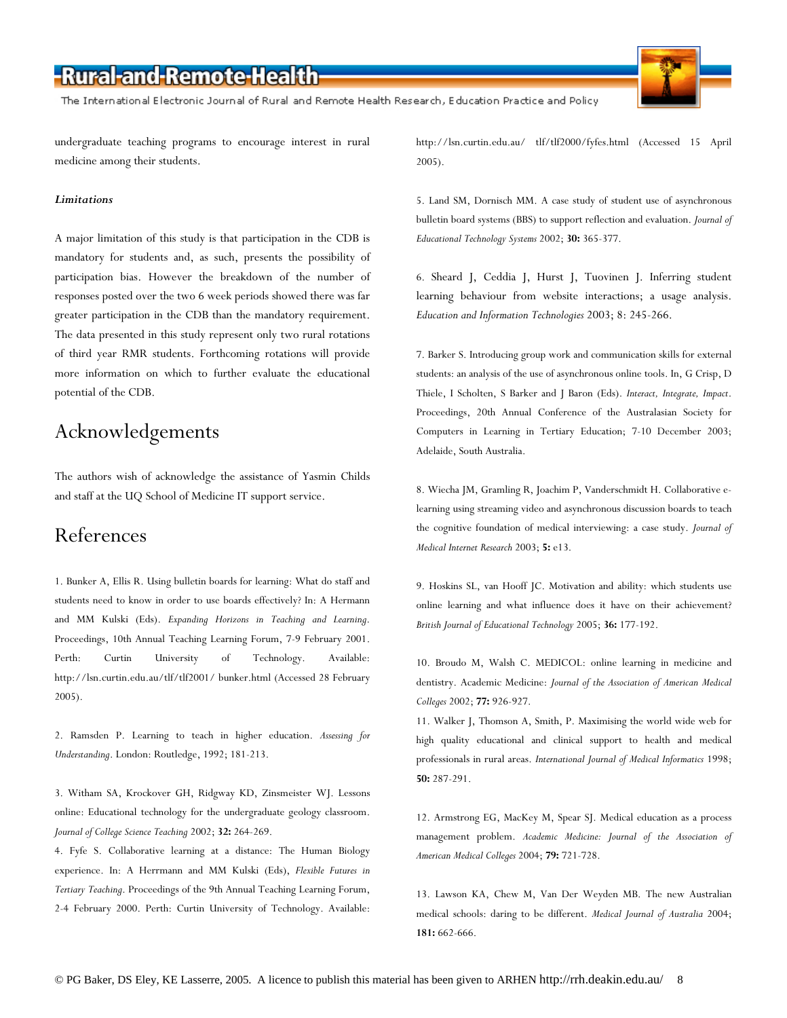The International Electronic Journal of Rural and Remote Health Research, Education Practice and Policy

undergraduate teaching programs to encourage interest in rural medicine among their students.

#### *Limitations*

A major limitation of this study is that participation in the CDB is mandatory for students and, as such, presents the possibility of participation bias. However the breakdown of the number of responses posted over the two 6 week periods showed there was far greater participation in the CDB than the mandatory requirement. The data presented in this study represent only two rural rotations of third year RMR students. Forthcoming rotations will provide more information on which to further evaluate the educational potential of the CDB.

### Acknowledgements

The authors wish of acknowledge the assistance of Yasmin Childs and staff at the UQ School of Medicine IT support service.

#### References

1. Bunker A, Ellis R. Using bulletin boards for learning: What do staff and students need to know in order to use boards effectively? In: A Hermann and MM Kulski (Eds). *Expanding Horizons in Teaching and Learning*. Proceedings, 10th Annual Teaching Learning Forum, 7-9 February 2001. Perth: Curtin University of Technology. Available: http://lsn.curtin.edu.au/tlf/tlf2001/ bunker.html (Accessed 28 February 2005).

2. Ramsden P. Learning to teach in higher education. *Assessing for Understanding*. London: Routledge, 1992; 181-213.

3. Witham SA, Krockover GH, Ridgway KD, Zinsmeister WJ. Lessons online: Educational technology for the undergraduate geology classroom. *Journal of College Science Teaching* 2002; **32:** 264-269.

4. Fyfe S. Collaborative learning at a distance: The Human Biology experience. In: A Herrmann and MM Kulski (Eds), *Flexible Futures in Tertiary Teaching*. Proceedings of the 9th Annual Teaching Learning Forum, 2-4 February 2000. Perth: Curtin University of Technology. Available:

http://lsn.curtin.edu.au/ tlf/tlf2000/fyfes.html (Accessed 15 April 2005).

5. Land SM, Dornisch MM. A case study of student use of asynchronous bulletin board systems (BBS) to support reflection and evaluation. *Journal of Educational Technology Systems* 2002; **30:** 365-377.

6. Sheard J, Ceddia J, Hurst J, Tuovinen J. Inferring student learning behaviour from website interactions; a usage analysis. *Education and Information Technologies* 2003; 8: 245-266.

7. Barker S. Introducing group work and communication skills for external students: an analysis of the use of asynchronous online tools. In, G Crisp, D Thiele, I Scholten, S Barker and J Baron (Eds). *Interact, Integrate, Impact*. Proceedings, 20th Annual Conference of the Australasian Society for Computers in Learning in Tertiary Education; 7-10 December 2003; Adelaide, South Australia.

8. Wiecha JM, Gramling R, Joachim P, Vanderschmidt H. Collaborative elearning using streaming video and asynchronous discussion boards to teach the cognitive foundation of medical interviewing: a case study. *Journal of Medical Internet Research* 2003; **5:** e13.

9. Hoskins SL, van Hooff JC. Motivation and ability: which students use online learning and what influence does it have on their achievement? *British Journal of Educational Technology* 2005; **36:** 177-192.

10. Broudo M, Walsh C. MEDICOL: online learning in medicine and dentistry. Academic Medicine: *Journal of the Association of American Medical Colleges* 2002; **77:** 926-927.

11. Walker J, Thomson A, Smith, P. Maximising the world wide web for high quality educational and clinical support to health and medical professionals in rural areas. *International Journal of Medical Informatics* 1998; **50:** 287-291.

12. Armstrong EG, MacKey M, Spear SJ. Medical education as a process management problem. *Academic Medicine: Journal of the Association of American Medical Colleges* 2004; **79:** 721-728.

13. Lawson KA, Chew M, Van Der Weyden MB. The new Australian medical schools: daring to be different. *Medical Journal of Australia* 2004; **181:** 662-666.